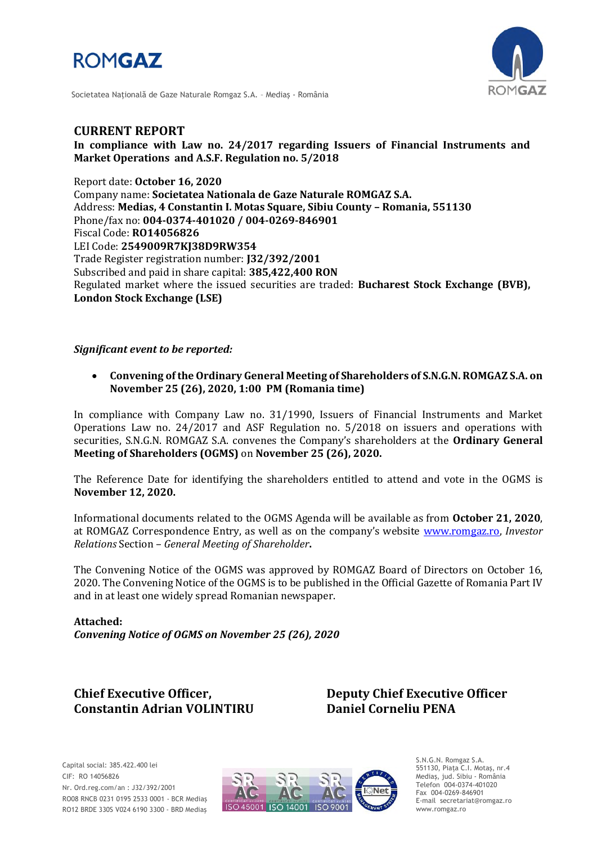



Societatea Naţională de Gaze Naturale Romgaz S.A. – Mediaş - România

## **CURRENT REPORT**

**In compliance with Law no. 24/2017 regarding Issuers of Financial Instruments and Market Operations and A.S.F. Regulation no. 5/2018**

Report date: **October 16, 2020** Company name: **Societatea Nationala de Gaze Naturale ROMGAZ S.A.** Address: **Medias, 4 Constantin I. Motas Square, Sibiu County – Romania, 551130** Phone/fax no: **004-0374-401020 / 004-0269-846901** Fiscal Code: **RO14056826** LEI Code: **2549009R7KJ38D9RW354** Trade Register registration number: **J32/392/2001** Subscribed and paid in share capital: **385,422,400 RON** Regulated market where the issued securities are traded: **Bucharest Stock Exchange (BVB), London Stock Exchange (LSE)**

## *Significant event to be reported:*

 **Convening of the Ordinary General Meeting of Shareholders of S.N.G.N. ROMGAZ S.A. on November 25 (26), 2020, 1:00 PM (Romania time)**

In compliance with Company Law no. 31/1990, Issuers of Financial Instruments and Market Operations Law no. 24/2017 and ASF Regulation no. 5/2018 on issuers and operations with securities, S.N.G.N. ROMGAZ S.A. convenes the Company's shareholders at the **Ordinary General Meeting of Shareholders (OGMS)** on **November 25 (26), 2020.**

The Reference Date for identifying the shareholders entitled to attend and vote in the OGMS is **November 12, 2020.**

Informational documents related to the OGMS Agenda will be available as from **October 21, 2020**, at ROMGAZ Correspondence Entry, as well as on the company's website [www.romgaz.ro,](http://www.romgaz.ro/) *Investor Relations* Section – *General Meeting of Shareholder***.**

The Convening Notice of the OGMS was approved by ROMGAZ Board of Directors on October 16, 2020. The Convening Notice of the OGMS is to be published in the Official Gazette of Romania Part IV and in at least one widely spread Romanian newspaper.

**Attached:** *Convening Notice of OGMS on November 25 (26), 2020*

# **Constantin Adrian VOLINTIRU Daniel Corneliu PENA**

**Chief Executive Officer, Deputy Chief Executive Officer**



S.N.G.N. Romgaz S.A. 551130, Piața C.I. Motaş, nr.4 Mediaş, jud. Sibiu - România Telefon 004-0374-401020 Fax 004-0269-846901 E-mail secretariat@romgaz.ro www.romgaz.ro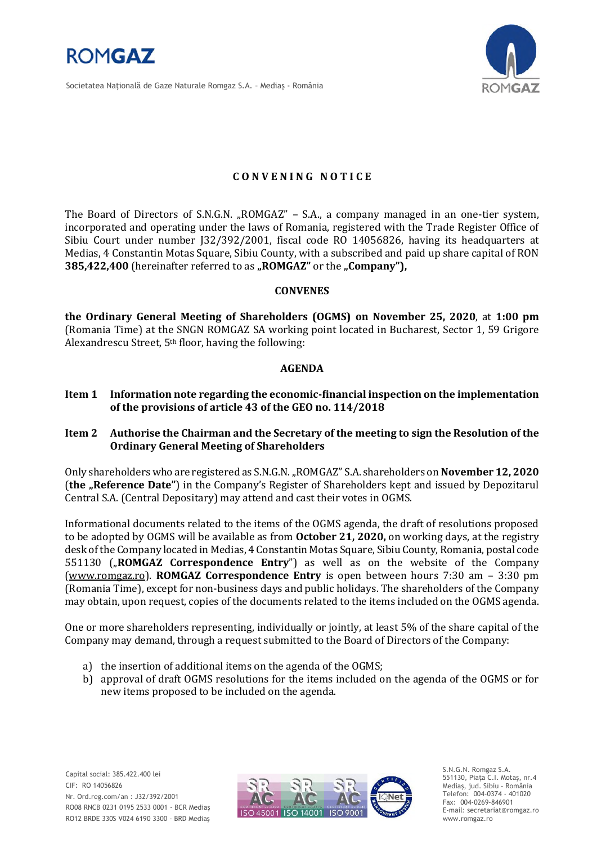

Societatea Naţională de Gaze Naturale Romgaz S.A. – Mediaş - România



## **C O N V E N I N G N O T I C E**

The Board of Directors of S.N.G.N. "ROMGAZ" - S.A., a company managed in an one-tier system, incorporated and operating under the laws of Romania, registered with the Trade Register Office of Sibiu Court under number J32/392/2001, fiscal code RO 14056826, having its headquarters at Medias, 4 Constantin Motas Square, Sibiu County, with a subscribed and paid up share capital of RON **385,422,400** (hereinafter referred to as "ROMGAZ" or the "Company"),

### **CONVENES**

**the Ordinary General Meeting of Shareholders (OGMS) on November 25, 2020**, at **1:00 pm**  (Romania Time) at the SNGN ROMGAZ SA working point located in Bucharest, Sector 1, 59 Grigore Alexandrescu Street, 5th floor, having the following:

### **AGENDA**

- **Item 1 Information note regarding the economic-financial inspection on the implementation of the provisions of article 43 of the GEO no. 114/2018**
- **Item 2 Authorise the Chairman and the Secretary of the meeting to sign the Resolution of the Ordinary General Meeting of Shareholders**

Only shareholders who are registered as S.N.G.N. "ROMGAZ" S.A. shareholders on **November 12, 2020** (**the "Reference Date"**) in the Company's Register of Shareholders kept and issued by Depozitarul Central S.A. (Central Depositary) may attend and cast their votes in OGMS.

Informational documents related to the items of the OGMS agenda, the draft of resolutions proposed to be adopted by OGMS will be available as from **October 21, 2020,** on working days, at the registry desk of the Company located in Medias, 4 Constantin Motas Square, Sibiu County, Romania, postal code 551130 ("ROMGAZ Correspondence Entry") as well as on the website of the Company [\(www.romgaz.ro\)](http://www.romgaz.ro/). **ROMGAZ Correspondence Entry** is open between hours 7:30 am – 3:30 pm (Romania Time), except for non-business days and public holidays. The shareholders of the Company may obtain, upon request, copies of the documents related to the items included on the OGMS agenda.

One or more shareholders representing, individually or jointly, at least 5% of the share capital of the Company may demand, through a request submitted to the Board of Directors of the Company:

- a) the insertion of additional items on the agenda of the OGMS;
- b) approval of draft OGMS resolutions for the items included on the agenda of the OGMS or for new items proposed to be included on the agenda.



S.N.G.N. Romgaz S.A. 551130, Piața C.I. Motaş, nr.4 Mediaş, jud. Sibiu - România Telefon: 004-0374 - 401020 Fax: 004-0269-846901 E-mail: secretariat@romgaz.ro www.romgaz.ro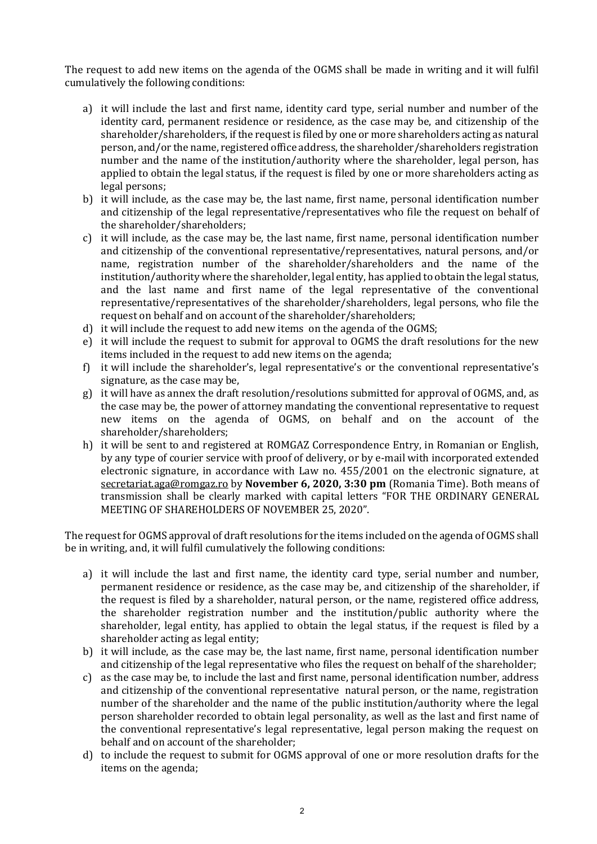The request to add new items on the agenda of the OGMS shall be made in writing and it will fulfil cumulatively the following conditions:

- a) it will include the last and first name, identity card type, serial number and number of the identity card, permanent residence or residence, as the case may be, and citizenship of the shareholder/shareholders, if the request is filed by one or more shareholders acting as natural person, and/or the name, registered office address, the shareholder/shareholders registration number and the name of the institution/authority where the shareholder, legal person, has applied to obtain the legal status, if the request is filed by one or more shareholders acting as legal persons;
- b) it will include, as the case may be, the last name, first name, personal identification number and citizenship of the legal representative/representatives who file the request on behalf of the shareholder/shareholders;
- c) it will include, as the case may be, the last name, first name, personal identification number and citizenship of the conventional representative/representatives, natural persons, and/or name, registration number of the shareholder/shareholders and the name of the institution/authority where the shareholder, legal entity, has applied to obtain the legal status, and the last name and first name of the legal representative of the conventional representative/representatives of the shareholder/shareholders, legal persons, who file the request on behalf and on account of the shareholder/shareholders;
- d) it will include the request to add new items on the agenda of the OGMS;
- e) it will include the request to submit for approval to OGMS the draft resolutions for the new items included in the request to add new items on the agenda;
- f) it will include the shareholder's, legal representative's or the conventional representative's signature, as the case may be,
- g) it will have as annex the draft resolution/resolutions submitted for approval of OGMS, and, as the case may be, the power of attorney mandating the conventional representative to request new items on the agenda of OGMS, on behalf and on the account of the shareholder/shareholders;
- h) it will be sent to and registered at ROMGAZ Correspondence Entry, in Romanian or English, by any type of courier service with proof of delivery, or by e-mail with incorporated extended electronic signature, in accordance with Law no. 455/2001 on the electronic signature, at [secretariat.aga@romgaz.ro](mailto:secretariat.aga%40romgaz.ro) by **November 6, 2020, 3:30 pm** (Romania Time). Both means of transmission shall be clearly marked with capital letters "FOR THE ORDINARY GENERAL MEETING OF SHAREHOLDERS OF NOVEMBER 25, 2020".

The request for OGMS approval of draft resolutions for the items included on the agenda of OGMS shall be in writing, and, it will fulfil cumulatively the following conditions:

- a) it will include the last and first name, the identity card type, serial number and number, permanent residence or residence, as the case may be, and citizenship of the shareholder, if the request is filed by a shareholder, natural person, or the name, registered office address, the shareholder registration number and the institution/public authority where the shareholder, legal entity, has applied to obtain the legal status, if the request is filed by a shareholder acting as legal entity;
- b) it will include, as the case may be, the last name, first name, personal identification number and citizenship of the legal representative who files the request on behalf of the shareholder;
- c) as the case may be, to include the last and first name, personal identification number, address and citizenship of the conventional representative natural person, or the name, registration number of the shareholder and the name of the public institution/authority where the legal person shareholder recorded to obtain legal personality, as well as the last and first name of the conventional representative's legal representative, legal person making the request on behalf and on account of the shareholder;
- d) to include the request to submit for OGMS approval of one or more resolution drafts for the items on the agenda;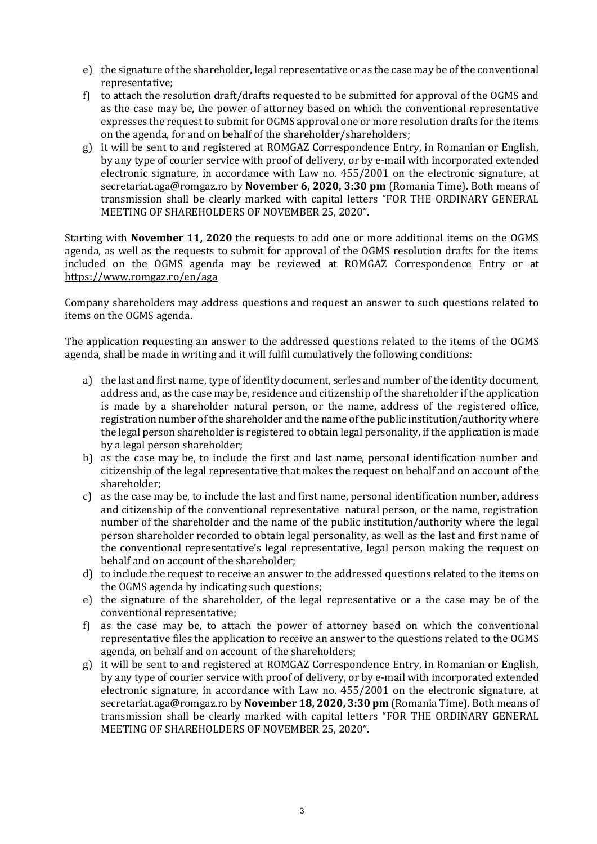- e) the signature of the shareholder, legal representative or as the case may be of the conventional representative;
- f) to attach the resolution draft/drafts requested to be submitted for approval of the OGMS and as the case may be, the power of attorney based on which the conventional representative expresses the request to submit for OGMS approval one or more resolution drafts for the items on the agenda, for and on behalf of the shareholder/shareholders;
- g) it will be sent to and registered at ROMGAZ Correspondence Entry, in Romanian or English, by any type of courier service with proof of delivery, or by e-mail with incorporated extended electronic signature, in accordance with Law no. 455/2001 on the electronic signature, at [secretariat.aga@romgaz.ro](mailto:secretariat.aga%40romgaz.ro) by **November 6, 2020, 3:30 pm** (Romania Time). Both means of transmission shall be clearly marked with capital letters "FOR THE ORDINARY GENERAL MEETING OF SHAREHOLDERS OF NOVEMBER 25, 2020".

Starting with **November 11, 2020** the requests to add one or more additional items on the OGMS agenda, as well as the requests to submit for approval of the OGMS resolution drafts for the items included on the OGMS agenda may be reviewed at ROMGAZ Correspondence Entry or at <https://www.romgaz.ro/en/aga>

Company shareholders may address questions and request an answer to such questions related to items on the OGMS agenda.

The application requesting an answer to the addressed questions related to the items of the OGMS agenda, shall be made in writing and it will fulfil cumulatively the following conditions:

- a) the last and first name, type of identity document, series and number of the identity document, address and, as the case may be, residence and citizenship of the shareholder if the application is made by a shareholder natural person, or the name, address of the registered office, registration number of the shareholder and the name of the public institution/authority where the legal person shareholder is registered to obtain legal personality, if the application is made by a legal person shareholder;
- b) as the case may be, to include the first and last name, personal identification number and citizenship of the legal representative that makes the request on behalf and on account of the shareholder;
- c) as the case may be, to include the last and first name, personal identification number, address and citizenship of the conventional representative natural person, or the name, registration number of the shareholder and the name of the public institution/authority where the legal person shareholder recorded to obtain legal personality, as well as the last and first name of the conventional representative's legal representative, legal person making the request on behalf and on account of the shareholder;
- d) to include the request to receive an answer to the addressed questions related to the items on the OGMS agenda by indicating such questions;
- e) the signature of the shareholder, of the legal representative or a the case may be of the conventional representative;
- f) as the case may be, to attach the power of attorney based on which the conventional representative files the application to receive an answer to the questions related to the OGMS agenda, on behalf and on account of the shareholders;
- g) it will be sent to and registered at ROMGAZ Correspondence Entry, in Romanian or English, by any type of courier service with proof of delivery, or by e-mail with incorporated extended electronic signature, in accordance with Law no. 455/2001 on the electronic signature, at [secretariat.aga@romgaz.ro](mailto:secretariat.aga%40romgaz.ro) by **November 18, 2020, 3:30 pm** (Romania Time). Both means of transmission shall be clearly marked with capital letters "FOR THE ORDINARY GENERAL MEETING OF SHAREHOLDERS OF NOVEMBER 25, 2020".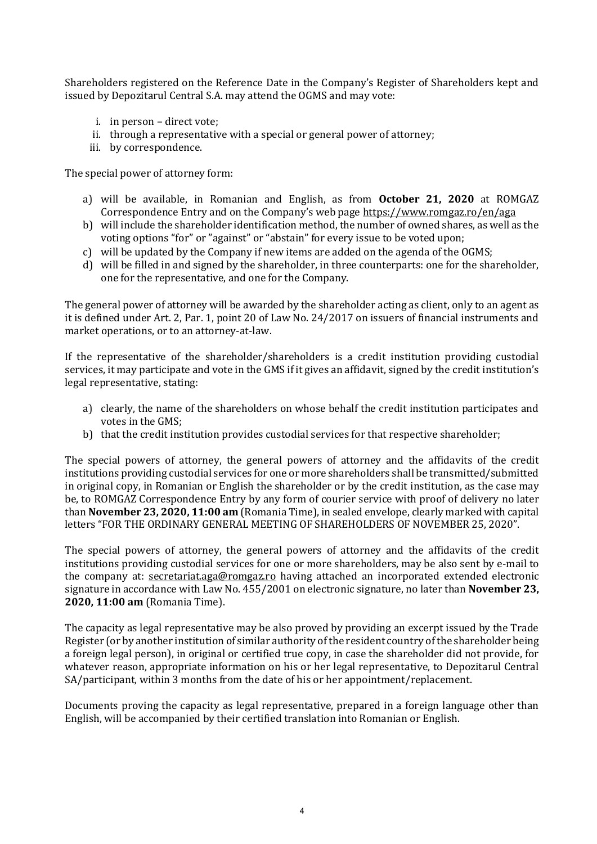Shareholders registered on the Reference Date in the Company's Register of Shareholders kept and issued by Depozitarul Central S.A. may attend the OGMS and may vote:

- i. in person direct vote;
- ii. through a representative with a special or general power of attorney;
- iii. by correspondence.

The special power of attorney form:

- a) will be available, in Romanian and English, as from **October 21, 2020** at ROMGAZ Correspondence Entry and on the Company's web page <https://www.romgaz.ro/en/aga>
- b) will include the shareholder identification method, the number of owned shares, as well as the voting options "for" or "against" or "abstain" for every issue to be voted upon;
- c) will be updated by the Company if new items are added on the agenda of the OGMS;
- d) will be filled in and signed by the shareholder, in three counterparts: one for the shareholder, one for the representative, and one for the Company.

The general power of attorney will be awarded by the shareholder acting as client, only to an agent as it is defined under Art. 2, Par. 1, point 20 of Law No. 24/2017 on issuers of financial instruments and market operations, or to an attorney-at-law.

If the representative of the shareholder/shareholders is a credit institution providing custodial services, it may participate and vote in the GMS if it gives an affidavit, signed by the credit institution's legal representative, stating:

- a) clearly, the name of the shareholders on whose behalf the credit institution participates and votes in the GMS;
- b) that the credit institution provides custodial services for that respective shareholder;

The special powers of attorney, the general powers of attorney and the affidavits of the credit institutions providing custodial services for one or more shareholders shall be transmitted/submitted in original copy, in Romanian or English the shareholder or by the credit institution, as the case may be, to ROMGAZ Correspondence Entry by any form of courier service with proof of delivery no later than **November 23, 2020, 11:00 am** (Romania Time), in sealed envelope, clearly marked with capital letters "FOR THE ORDINARY GENERAL MEETING OF SHAREHOLDERS OF NOVEMBER 25, 2020".

The special powers of attorney, the general powers of attorney and the affidavits of the credit institutions providing custodial services for one or more shareholders, may be also sent by e-mail to the company at: [secretariat.aga@romgaz.ro](mailto:secretariat.aga%40romgaz.ro) having attached an incorporated extended electronic signature in accordance with Law No. 455/2001 on electronic signature, no later than **November 23, 2020, 11:00 am** (Romania Time).

The capacity as legal representative may be also proved by providing an excerpt issued by the Trade Register (or by another institution of similar authority of the resident country of the shareholder being a foreign legal person), in original or certified true copy, in case the shareholder did not provide, for whatever reason, appropriate information on his or her legal representative, to Depozitarul Central SA/participant, within 3 months from the date of his or her appointment/replacement.

Documents proving the capacity as legal representative, prepared in a foreign language other than English, will be accompanied by their certified translation into Romanian or English.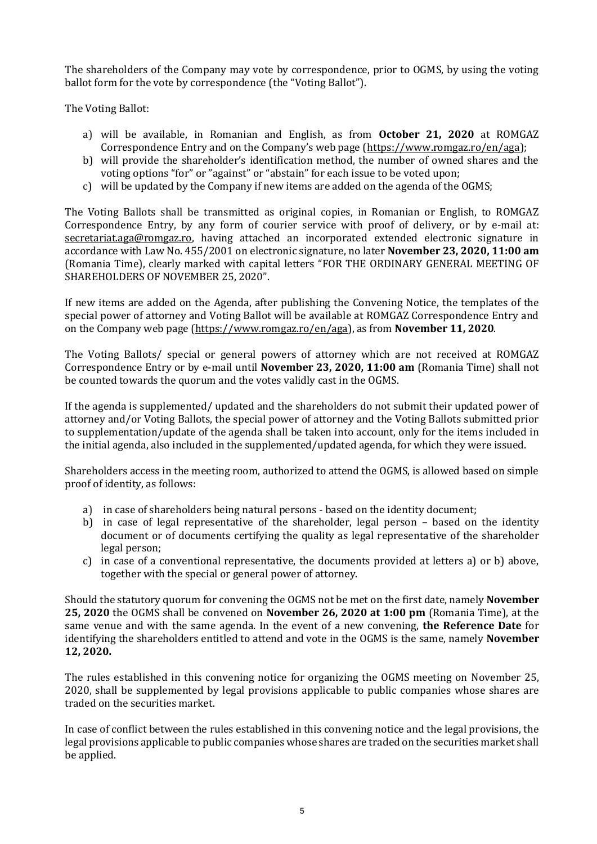The shareholders of the Company may vote by correspondence, prior to OGMS, by using the voting ballot form for the vote by correspondence (the "Voting Ballot").

The Voting Ballot:

- a) will be available, in Romanian and English, as from **October 21, 2020** at ROMGAZ Correspondence Entry and on the Company's web page ([https://www.romgaz.ro/en/aga\)](https://www.romgaz.ro/en/aga);
- b) will provide the shareholder's identification method, the number of owned shares and the voting options "for" or "against" or "abstain" for each issue to be voted upon;
- c) will be updated by the Company if new items are added on the agenda of the OGMS;

The Voting Ballots shall be transmitted as original copies, in Romanian or English, to ROMGAZ Correspondence Entry, by any form of courier service with proof of delivery, or by e-mail at: [secretariat.aga@romgaz.ro,](mailto:secretariat.aga%40romgaz.ro) having attached an incorporated extended electronic signature in accordance with Law No. 455/2001 on electronic signature, no later **November 23, 2020, 11:00 am**  (Romania Time), clearly marked with capital letters "FOR THE ORDINARY GENERAL MEETING OF SHAREHOLDERS OF NOVEMBER 25, 2020".

If new items are added on the Agenda, after publishing the Convening Notice, the templates of the special power of attorney and Voting Ballot will be available at ROMGAZ Correspondence Entry and on the Company web page [\(https://www.romgaz.ro/en/aga\)](https://www.romgaz.ro/en/aga), as from **November 11, 2020**.

The Voting Ballots/ special or general powers of attorney which are not received at ROMGAZ Correspondence Entry or by e-mail until **November 23, 2020, 11:00 am** (Romania Time) shall not be counted towards the quorum and the votes validly cast in the OGMS.

If the agenda is supplemented/ updated and the shareholders do not submit their updated power of attorney and/or Voting Ballots, the special power of attorney and the Voting Ballots submitted prior to supplementation/update of the agenda shall be taken into account, only for the items included in the initial agenda, also included in the supplemented/updated agenda, for which they were issued.

Shareholders access in the meeting room, authorized to attend the OGMS, is allowed based on simple proof of identity, as follows:

- a) in case of shareholders being natural persons based on the identity document;
- b) in case of legal representative of the shareholder, legal person based on the identity document or of documents certifying the quality as legal representative of the shareholder legal person;
- c) in case of a conventional representative, the documents provided at letters a) or b) above, together with the special or general power of attorney.

Should the statutory quorum for convening the OGMS not be met on the first date, namely **November 25, 2020** the OGMS shall be convened on **November 26, 2020 at 1:00 pm** (Romania Time), at the same venue and with the same agenda. In the event of a new convening, **the Reference Date** for identifying the shareholders entitled to attend and vote in the OGMS is the same, namely **November 12, 2020.**

The rules established in this convening notice for organizing the OGMS meeting on November 25, 2020, shall be supplemented by legal provisions applicable to public companies whose shares are traded on the securities market.

In case of conflict between the rules established in this convening notice and the legal provisions, the legal provisions applicable to public companies whose shares are traded on the securities market shall be applied.